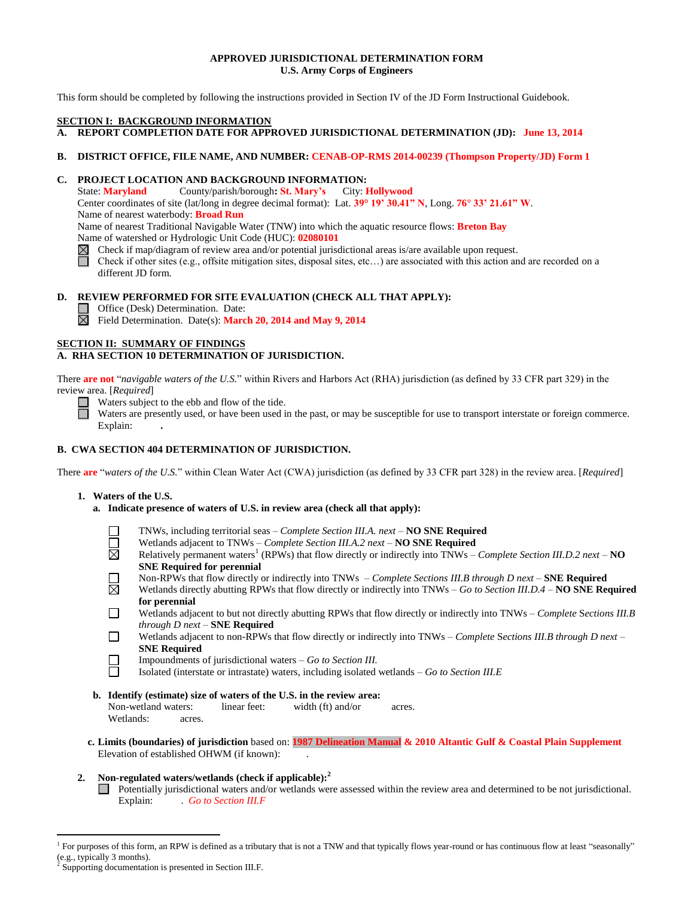## **APPROVED JURISDICTIONAL DETERMINATION FORM U.S. Army Corps of Engineers**

This form should be completed by following the instructions provided in Section IV of the JD Form Instructional Guidebook.

### **SECTION I: BACKGROUND INFORMATION**

**A. REPORT COMPLETION DATE FOR APPROVED JURISDICTIONAL DETERMINATION (JD): June 13, 2014**

# **B. DISTRICT OFFICE, FILE NAME, AND NUMBER: CENAB-OP-RMS 2014-00239 (Thompson Property/JD) Form 1**

## **C. PROJECT LOCATION AND BACKGROUND INFORMATION:**

State: **Maryland** County/parish/borough**: St. Mary's** City: **Hollywood** Center coordinates of site (lat/long in degree decimal format): Lat. **39° 19' 30.41" N**, Long. **76° 33' 21.61" W**. Name of nearest waterbody: **Broad Run** Name of nearest Traditional Navigable Water (TNW) into which the aquatic resource flows: **Breton Bay** Name of watershed or Hydrologic Unit Code (HUC): **02080101**

- Check if map/diagram of review area and/or potential jurisdictional areas is/are available upon request.
- Check if other sites (e.g., offsite mitigation sites, disposal sites, etc…) are associated with this action and are recorded on a different JD form.

### **D. REVIEW PERFORMED FOR SITE EVALUATION (CHECK ALL THAT APPLY):**

 $\Box$  Office (Desk) Determination. Date:

Field Determination. Date(s): **March 20, 2014 and May 9, 2014**

### **SECTION II: SUMMARY OF FINDINGS**

## **A. RHA SECTION 10 DETERMINATION OF JURISDICTION.**

There **are not** "*navigable waters of the U.S.*" within Rivers and Harbors Act (RHA) jurisdiction (as defined by 33 CFR part 329) in the review area. [*Required*]

R Waters subject to the ebb and flow of the tide.

Waters are presently used, or have been used in the past, or may be susceptible for use to transport interstate or foreign commerce. Explain: **.**

## **B. CWA SECTION 404 DETERMINATION OF JURISDICTION.**

There **are** "*waters of the U.S.*" within Clean Water Act (CWA) jurisdiction (as defined by 33 CFR part 328) in the review area. [*Required*]

### **1. Waters of the U.S.**

- **a. Indicate presence of waters of U.S. in review area (check all that apply):**
	- TNWs, including territorial seas *Complete Section III.A. next –* **NO SNE Required**
	- П Wetlands adjacent to TNWs – *Complete Section III.A.2 next –* **NO SNE Required**
	- 岗 Relatively permanent waters<sup>1</sup> (RPWs) that flow directly or indirectly into TNWs – *Complete Section III.D.2 next* – **NO SNE Required for perennial**
		- Non-RPWs that flow directly or indirectly into TNWs *Complete Sections III.B through D next –* **SNE Required**
	- 岗 Wetlands directly abutting RPWs that flow directly or indirectly into TNWs – *Go to Section III.D.4 –* **NO SNE Required for perennial**
	- Wetlands adjacent to but not directly abutting RPWs that flow directly or indirectly into TNWs *Complete* S*ections III.B*  П *through D next –* **SNE Required**
	- П Wetlands adjacent to non-RPWs that flow directly or indirectly into TNWs – *Complete* S*ections III.B through D next –* **SNE Required**
		- Impoundments of jurisdictional waters *Go to Section III.*
	- П Isolated (interstate or intrastate) waters, including isolated wetlands – *Go to Section III.E*
- **b. Identify (estimate) size of waters of the U.S. in the review area:** Non-wetland waters: linear feet: width (ft) and/or acres. Wetlands: acres.
- **c. Limits (boundaries) of jurisdiction** based on: **1987 Delineation Manual & 2010 Altantic Gulf & Coastal Plain Supplement** Elevation of established OHWM (if known):

## **2. Non-regulated waters/wetlands (check if applicable): 2**

Potentially jurisdictional waters and/or wetlands were assessed within the review area and determined to be not jurisdictional. Explain: .*Go to Section III.F*

 $\overline{a}$ 

<sup>&</sup>lt;sup>1</sup> For purposes of this form, an RPW is defined as a tributary that is not a TNW and that typically flows year-round or has continuous flow at least "seasonally" (e.g., typically 3 months).

<sup>2</sup> Supporting documentation is presented in Section III.F.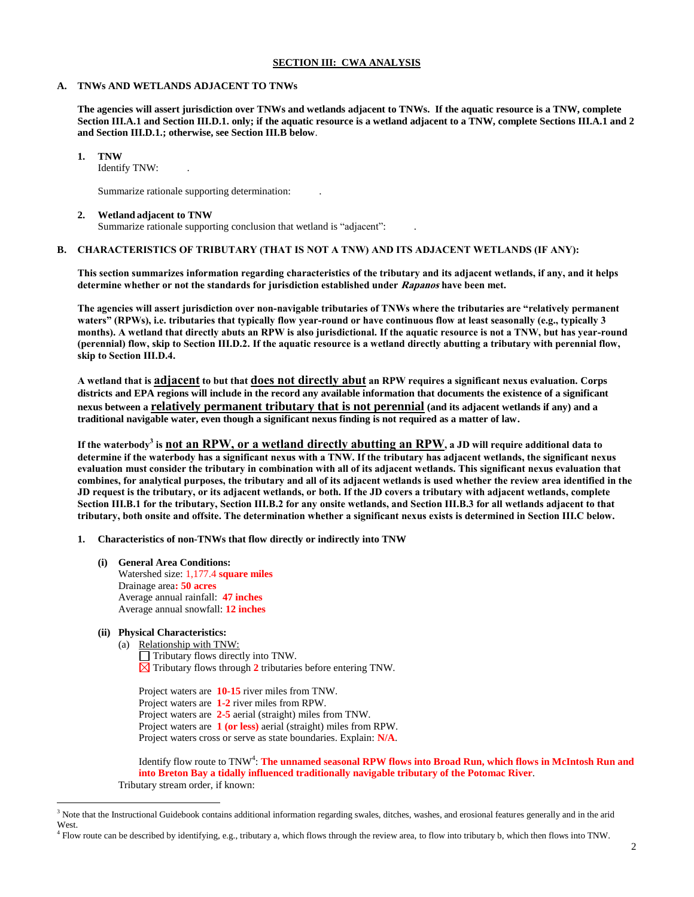### **SECTION III: CWA ANALYSIS**

#### **A. TNWs AND WETLANDS ADJACENT TO TNWs**

**The agencies will assert jurisdiction over TNWs and wetlands adjacent to TNWs. If the aquatic resource is a TNW, complete Section III.A.1 and Section III.D.1. only; if the aquatic resource is a wetland adjacent to a TNW, complete Sections III.A.1 and 2 and Section III.D.1.; otherwise, see Section III.B below**.

**1. TNW** 

Identify TNW: .

Summarize rationale supporting determination: .

#### **2. Wetland adjacent to TNW**

Summarize rationale supporting conclusion that wetland is "adjacent":

## **B. CHARACTERISTICS OF TRIBUTARY (THAT IS NOT A TNW) AND ITS ADJACENT WETLANDS (IF ANY):**

**This section summarizes information regarding characteristics of the tributary and its adjacent wetlands, if any, and it helps determine whether or not the standards for jurisdiction established under Rapanos have been met.** 

**The agencies will assert jurisdiction over non-navigable tributaries of TNWs where the tributaries are "relatively permanent waters" (RPWs), i.e. tributaries that typically flow year-round or have continuous flow at least seasonally (e.g., typically 3 months). A wetland that directly abuts an RPW is also jurisdictional. If the aquatic resource is not a TNW, but has year-round (perennial) flow, skip to Section III.D.2. If the aquatic resource is a wetland directly abutting a tributary with perennial flow, skip to Section III.D.4.** 

**A wetland that is adjacent to but that does not directly abut an RPW requires a significant nexus evaluation. Corps districts and EPA regions will include in the record any available information that documents the existence of a significant nexus between a relatively permanent tributary that is not perennial (and its adjacent wetlands if any) and a traditional navigable water, even though a significant nexus finding is not required as a matter of law.**

**If the waterbody<sup>3</sup> is not an RPW, or a wetland directly abutting an RPW, a JD will require additional data to determine if the waterbody has a significant nexus with a TNW. If the tributary has adjacent wetlands, the significant nexus evaluation must consider the tributary in combination with all of its adjacent wetlands. This significant nexus evaluation that combines, for analytical purposes, the tributary and all of its adjacent wetlands is used whether the review area identified in the JD request is the tributary, or its adjacent wetlands, or both. If the JD covers a tributary with adjacent wetlands, complete Section III.B.1 for the tributary, Section III.B.2 for any onsite wetlands, and Section III.B.3 for all wetlands adjacent to that tributary, both onsite and offsite. The determination whether a significant nexus exists is determined in Section III.C below.**

**1. Characteristics of non-TNWs that flow directly or indirectly into TNW**

**(i) General Area Conditions:** Watershed size: 1,177.4 **square miles** Drainage area**: 50 acres** Average annual rainfall: **47 inches** Average annual snowfall: **12 inches**

## **(ii) Physical Characteristics:**

 $\overline{a}$ 

(a) Relationship with TNW:  $\Box$  Tributary flows directly into TNW.  $\boxtimes$  Tributary flows through 2 tributaries before entering TNW.

Project waters are **10-15** river miles from TNW. Project waters are **1-2** river miles from RPW. Project waters are **2-5** aerial (straight) miles from TNW. Project waters are **1 (or less)** aerial (straight) miles from RPW. Project waters cross or serve as state boundaries. Explain: **N/A**.

Identify flow route to TNW<sup>4</sup>: The unnamed seasonal RPW flows into Broad Run, which flows in McIntosh Run and **into Breton Bay a tidally influenced traditionally navigable tributary of the Potomac River**. Tributary stream order, if known:

<sup>&</sup>lt;sup>3</sup> Note that the Instructional Guidebook contains additional information regarding swales, ditches, washes, and erosional features generally and in the arid West.

<sup>4</sup> Flow route can be described by identifying, e.g., tributary a, which flows through the review area, to flow into tributary b, which then flows into TNW.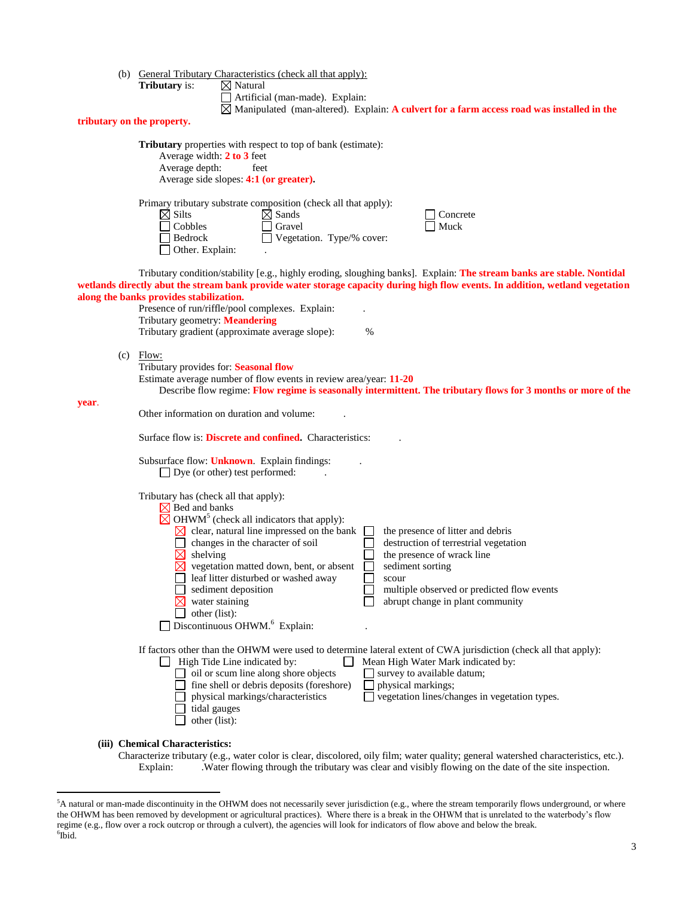(b) General Tributary Characteristics (check all that apply):

**Tributary** properties with respect to top of bank (estimate):

**Tributary** is:

 $\boxtimes$  Natural<br> $\Box$  Artificial (man-made). Explain:

Manipulated (man-altered). Explain: **A culvert for a farm access road was installed in the** 

# **tributary on the property.**

 $\overline{a}$ 

|       |                                                                 | Average width: $2 \text{ to } 3$ feet<br>Average depth:<br>feet<br>Average side slopes: 4:1 (or greater).                                                                                                                                                                                                                                                                                                                                                                                                                                                                                                                                                                                    |  |  |  |  |
|-------|-----------------------------------------------------------------|----------------------------------------------------------------------------------------------------------------------------------------------------------------------------------------------------------------------------------------------------------------------------------------------------------------------------------------------------------------------------------------------------------------------------------------------------------------------------------------------------------------------------------------------------------------------------------------------------------------------------------------------------------------------------------------------|--|--|--|--|
|       |                                                                 | Primary tributary substrate composition (check all that apply):<br>$\boxtimes$ Silts<br>$\boxtimes$ Sands<br>Concrete<br>Cobbles<br>Gravel<br>Muck<br>Bedrock<br>Vegetation. Type/% cover:<br>Other. Explain:                                                                                                                                                                                                                                                                                                                                                                                                                                                                                |  |  |  |  |
|       |                                                                 | Tributary condition/stability [e.g., highly eroding, sloughing banks]. Explain: The stream banks are stable. Nontidal<br>wetlands directly abut the stream bank provide water storage capacity during high flow events. In addition, wetland vegetation<br>along the banks provides stabilization.<br>Presence of run/riffle/pool complexes. Explain:<br>Tributary geometry: Meandering<br>Tributary gradient (approximate average slope):<br>$\%$                                                                                                                                                                                                                                           |  |  |  |  |
|       |                                                                 | $(c)$ Flow:<br>Tributary provides for: Seasonal flow<br>Estimate average number of flow events in review area/year: 11-20<br>Describe flow regime: Flow regime is seasonally intermittent. The tributary flows for 3 months or more of the                                                                                                                                                                                                                                                                                                                                                                                                                                                   |  |  |  |  |
| year. |                                                                 | Other information on duration and volume:                                                                                                                                                                                                                                                                                                                                                                                                                                                                                                                                                                                                                                                    |  |  |  |  |
|       | Surface flow is: <b>Discrete and confined.</b> Characteristics: |                                                                                                                                                                                                                                                                                                                                                                                                                                                                                                                                                                                                                                                                                              |  |  |  |  |
|       |                                                                 | Subsurface flow: <b>Unknown</b> . Explain findings:<br>$\Box$ Dye (or other) test performed:                                                                                                                                                                                                                                                                                                                                                                                                                                                                                                                                                                                                 |  |  |  |  |
|       |                                                                 | Tributary has (check all that apply):<br>$\boxtimes$ Bed and banks<br>$\boxtimes$ OHWM <sup>5</sup> (check all indicators that apply):<br>$\boxtimes$ clear, natural line impressed on the bank<br>the presence of litter and debris<br>destruction of terrestrial vegetation<br>changes in the character of soil<br>$\boxtimes$ shelving<br>the presence of wrack line<br>$\boxtimes$ vegetation matted down, bent, or absent<br>sediment sorting<br>leaf litter disturbed or washed away<br>scour<br>sediment deposition<br>multiple observed or predicted flow events<br>water staining<br>abrupt change in plant community<br>other (list):<br>Discontinuous OHWM. <sup>6</sup> Explain: |  |  |  |  |
|       |                                                                 | If factors other than the OHWM were used to determine lateral extent of CWA jurisdiction (check all that apply):<br>High Tide Line indicated by:<br>Mean High Water Mark indicated by:<br>$\Box$ oil or scum line along shore objects<br>survey to available datum;<br>fine shell or debris deposits (foreshore)<br>physical markings;<br>physical markings/characteristics<br>vegetation lines/changes in vegetation types.<br>tidal gauges<br>other (list):                                                                                                                                                                                                                                |  |  |  |  |
|       |                                                                 | (iii) Chemical Characteristics:<br>Characterize tributary (e.g., water color is clear, discolored, oily film; water quality; general watershed characteristics, etc.)                                                                                                                                                                                                                                                                                                                                                                                                                                                                                                                        |  |  |  |  |

Characterize tributary (e.g., water color is clear, discolored, oily film; water quality; general watershed characteristics, etc.). Explain: .Water flowing through the tributary was clear and visibly flowing on the date of the site inspection.

<sup>&</sup>lt;sup>5</sup>A natural or man-made discontinuity in the OHWM does not necessarily sever jurisdiction (e.g., where the stream temporarily flows underground, or where the OHWM has been removed by development or agricultural practices). Where there is a break in the OHWM that is unrelated to the waterbody's flow regime (e.g., flow over a rock outcrop or through a culvert), the agencies will look for indicators of flow above and below the break. 6 Ibid.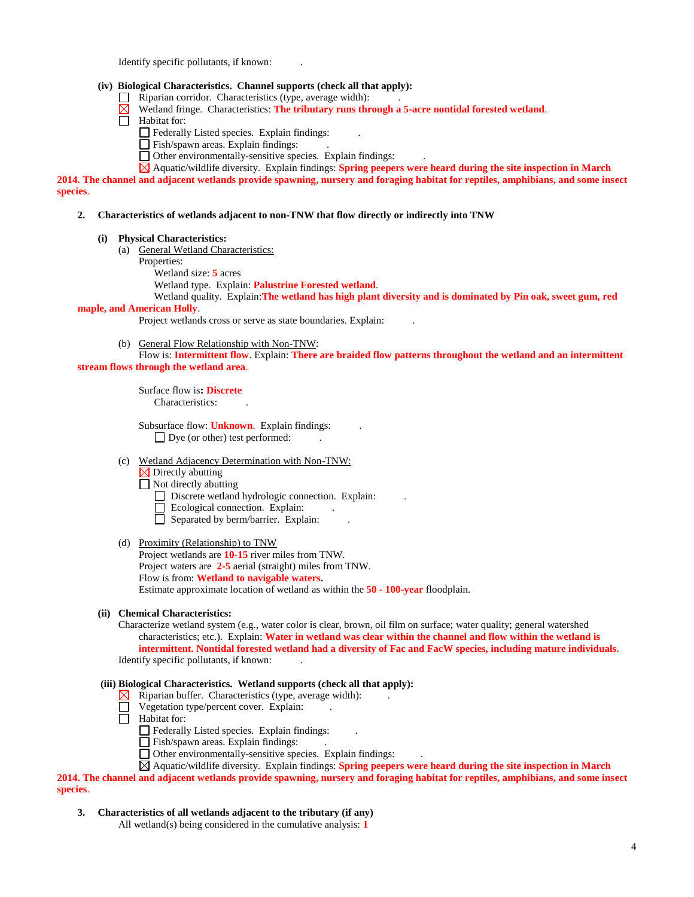Identify specific pollutants, if known: .

## **(iv) Biological Characteristics. Channel supports (check all that apply):**

- $\Box$  Riparian corridor. Characteristics (type, average width):
- Wetland fringe. Characteristics: **The tributary runs through a 5-acre nontidal forested wetland**.
- $\overline{\Box}$  Habitat for:
	- Federally Listed species. Explain findings: .
	- Fish/spawn areas. Explain findings:
	- Other environmentally-sensitive species. Explain findings: .
	- Aquatic/wildlife diversity. Explain findings: **Spring peepers were heard during the site inspection in March**

**2014. The channel and adjacent wetlands provide spawning, nursery and foraging habitat for reptiles, amphibians, and some insect species**.

#### **2. Characteristics of wetlands adjacent to non-TNW that flow directly or indirectly into TNW**

- **(i) Physical Characteristics:**
	- (a) General Wetland Characteristics:
		- Properties:

Wetland size: **5** acres

Wetland type. Explain: **Palustrine Forested wetland**.

Wetland quality. Explain: **The wetland has high plant diversity and is dominated by Pin oak, sweet gum, red maple, and American Holly**.

Project wetlands cross or serve as state boundaries. Explain: .

(b) General Flow Relationship with Non-TNW:

Flow is: **Intermittent flow**. Explain: **There are braided flow patterns throughout the wetland and an intermittent stream flows through the wetland area**.

> Surface flow is**: Discrete**  Characteristics: .

Subsurface flow: **Unknown**. Explain findings: . Dye (or other) test performed:

- (c) Wetland Adjacency Determination with Non-TNW:
	- $\overline{\times}$  Directly abutting

Not directly abutting

- Discrete wetland hydrologic connection. Explain:
- Ecological connection. Explain:
- $\Box$  Separated by berm/barrier. Explain:

### (d) Proximity (Relationship) to TNW

Project wetlands are **10-15** river miles from TNW. Project waters are **2-5** aerial (straight) miles from TNW. Flow is from: **Wetland to navigable waters.** Estimate approximate location of wetland as within the **50 - 100-year** floodplain.

### **(ii) Chemical Characteristics:**

Characterize wetland system (e.g., water color is clear, brown, oil film on surface; water quality; general watershed characteristics; etc.). Explain: **Water in wetland was clear within the channel and flow within the wetland is intermittent. Nontidal forested wetland had a diversity of Fac and FacW species, including mature individuals.** Identify specific pollutants, if known: .

### **(iii) Biological Characteristics. Wetland supports (check all that apply):**

- $\boxtimes$  Riparian buffer. Characteristics (type, average width):
- Vegetation type/percent cover. Explain:
- $\Box$  Habitat for:
	- Federally Listed species. Explain findings: .
	- $\hfill\Box$  Fish/spawn areas. Explain findings:
	- $\Box$  Other environmentally-sensitive species. Explain findings:

Aquatic/wildlife diversity. Explain findings: **Spring peepers were heard during the site inspection in March 2014. The channel and adjacent wetlands provide spawning, nursery and foraging habitat for reptiles, amphibians, and some insect species**.

- **3. Characteristics of all wetlands adjacent to the tributary (if any)** 
	- All wetland(s) being considered in the cumulative analysis: **1**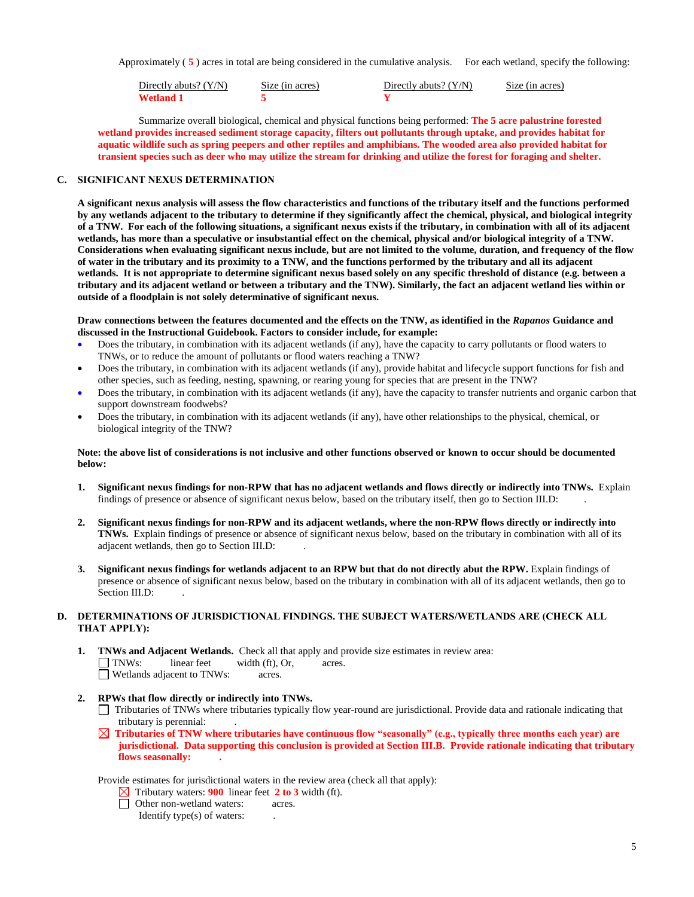Approximately ( **5** ) acres in total are being considered in the cumulative analysis. For each wetland, specify the following:

| Directly abuts? $(Y/N)$ | Size (in acres) | Directly abuts? $(Y/N)$ | Size (in acres) |
|-------------------------|-----------------|-------------------------|-----------------|
| Wetland 1               |                 |                         |                 |

Summarize overall biological, chemical and physical functions being performed: **The 5 acre palustrine forested wetland provides increased sediment storage capacity, filters out pollutants through uptake, and provides habitat for aquatic wildlife such as spring peepers and other reptiles and amphibians. The wooded area also provided habitat for transient species such as deer who may utilize the stream for drinking and utilize the forest for foraging and shelter.**

## **C. SIGNIFICANT NEXUS DETERMINATION**

**A significant nexus analysis will assess the flow characteristics and functions of the tributary itself and the functions performed by any wetlands adjacent to the tributary to determine if they significantly affect the chemical, physical, and biological integrity of a TNW. For each of the following situations, a significant nexus exists if the tributary, in combination with all of its adjacent wetlands, has more than a speculative or insubstantial effect on the chemical, physical and/or biological integrity of a TNW. Considerations when evaluating significant nexus include, but are not limited to the volume, duration, and frequency of the flow of water in the tributary and its proximity to a TNW, and the functions performed by the tributary and all its adjacent wetlands. It is not appropriate to determine significant nexus based solely on any specific threshold of distance (e.g. between a tributary and its adjacent wetland or between a tributary and the TNW). Similarly, the fact an adjacent wetland lies within or outside of a floodplain is not solely determinative of significant nexus.** 

#### **Draw connections between the features documented and the effects on the TNW, as identified in the** *Rapanos* **Guidance and discussed in the Instructional Guidebook. Factors to consider include, for example:**

- Does the tributary, in combination with its adjacent wetlands (if any), have the capacity to carry pollutants or flood waters to TNWs, or to reduce the amount of pollutants or flood waters reaching a TNW?
- Does the tributary, in combination with its adjacent wetlands (if any), provide habitat and lifecycle support functions for fish and other species, such as feeding, nesting, spawning, or rearing young for species that are present in the TNW?
- Does the tributary, in combination with its adjacent wetlands (if any), have the capacity to transfer nutrients and organic carbon that support downstream foodwebs?
- Does the tributary, in combination with its adjacent wetlands (if any), have other relationships to the physical, chemical, or biological integrity of the TNW?

### **Note: the above list of considerations is not inclusive and other functions observed or known to occur should be documented below:**

- **1. Significant nexus findings for non-RPW that has no adjacent wetlands and flows directly or indirectly into TNWs.** Explain findings of presence or absence of significant nexus below, based on the tributary itself, then go to Section III.D: .
- **2. Significant nexus findings for non-RPW and its adjacent wetlands, where the non-RPW flows directly or indirectly into TNWs.** Explain findings of presence or absence of significant nexus below, based on the tributary in combination with all of its adjacent wetlands, then go to Section III.D: .
- **3. Significant nexus findings for wetlands adjacent to an RPW but that do not directly abut the RPW.** Explain findings of presence or absence of significant nexus below, based on the tributary in combination with all of its adjacent wetlands, then go to Section III.D:

## **D. DETERMINATIONS OF JURISDICTIONAL FINDINGS. THE SUBJECT WATERS/WETLANDS ARE (CHECK ALL THAT APPLY):**

- **1. TNWs and Adjacent Wetlands.** Check all that apply and provide size estimates in review area: TNWs: linear feet width (ft), Or, acres. Wetlands adjacent to TNWs: acres.
- **2. RPWs that flow directly or indirectly into TNWs.**
	- Tributaries of TNWs where tributaries typically flow year-round are jurisdictional. Provide data and rationale indicating that tributary is perennial: .
	- **Tributaries of TNW where tributaries have continuous flow "seasonally" (e.g., typically three months each year) are jurisdictional. Data supporting this conclusion is provided at Section III.B. Provide rationale indicating that tributary flows seasonally: .**

Provide estimates for jurisdictional waters in the review area (check all that apply):

- $\boxtimes$  Tributary waters: **900** linear feet **2 to 3** width (ft).
- Other non-wetland waters: acres.

Identify type(s) of waters: .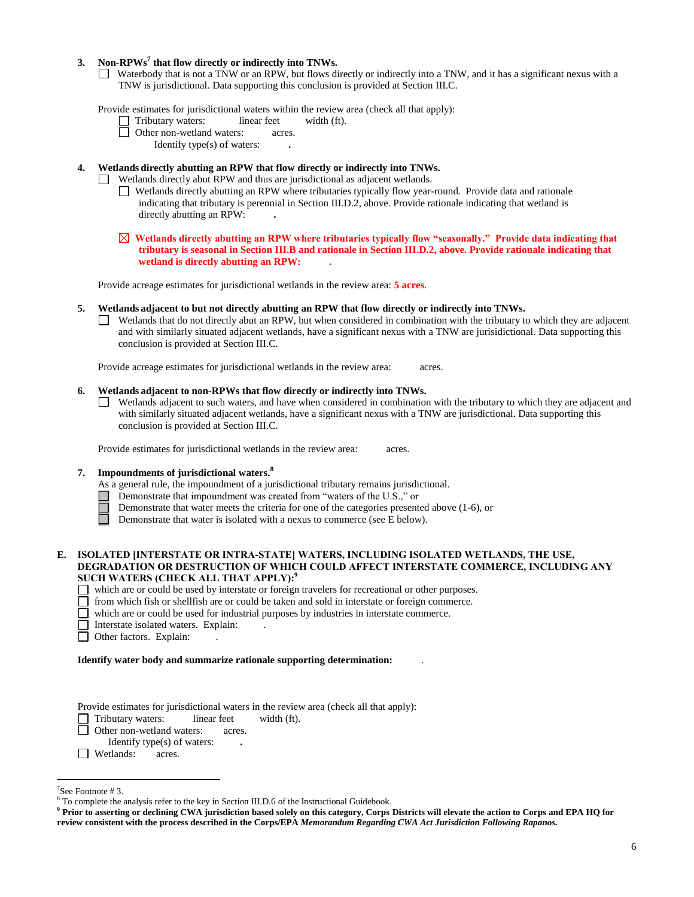## **3. Non-RPWs<sup>7</sup> that flow directly or indirectly into TNWs.**

Waterbody that is not a TNW or an RPW, but flows directly or indirectly into a TNW, and it has a significant nexus with a TNW is jurisdictional. Data supporting this conclusion is provided at Section III.C.

Provide estimates for jurisdictional waters within the review area (check all that apply):<br>  $\Box$  Tributary waters: linear feet width (ft).

- □ Tributary waters: linear feet width (ft).
- **D** Other non-wetland waters: acres.

Identify type(s) of waters: **.**

- **4. Wetlands directly abutting an RPW that flow directly or indirectly into TNWs.**
	- Wetlands directly abut RPW and thus are jurisdictional as adjacent wetlands.
		- Wetlands directly abutting an RPW where tributaries typically flow year-round. Provide data and rationale indicating that tributary is perennial in Section III.D.2, above. Provide rationale indicating that wetland is directly abutting an RPW: **.**
		- **Wetlands directly abutting an RPW where tributaries typically flow "seasonally." Provide data indicating that tributary is seasonal in Section III.B and rationale in Section III.D.2, above. Provide rationale indicating that wetland is directly abutting an RPW: .**

Provide acreage estimates for jurisdictional wetlands in the review area: **5 acres**.

- **5. Wetlands adjacent to but not directly abutting an RPW that flow directly or indirectly into TNWs.**
	- $\Box$  Wetlands that do not directly abut an RPW, but when considered in combination with the tributary to which they are adjacent and with similarly situated adjacent wetlands, have a significant nexus with a TNW are jurisidictional. Data supporting this conclusion is provided at Section III.C.

Provide acreage estimates for jurisdictional wetlands in the review area: acres.

## **6. Wetlands adjacent to non-RPWs that flow directly or indirectly into TNWs.**

Wetlands adjacent to such waters, and have when considered in combination with the tributary to which they are adjacent and with similarly situated adjacent wetlands, have a significant nexus with a TNW are jurisdictional. Data supporting this conclusion is provided at Section III.C.

Provide estimates for jurisdictional wetlands in the review area: acres.

## **7. Impoundments of jurisdictional waters. 8**

- As a general rule, the impoundment of a jurisdictional tributary remains jurisdictional.
- Demonstrate that impoundment was created from "waters of the U.S.," or
- Demonstrate that water meets the criteria for one of the categories presented above (1-6), or
- $\Box$ Demonstrate that water is isolated with a nexus to commerce (see E below).

### **E. ISOLATED [INTERSTATE OR INTRA-STATE] WATERS, INCLUDING ISOLATED WETLANDS, THE USE, DEGRADATION OR DESTRUCTION OF WHICH COULD AFFECT INTERSTATE COMMERCE, INCLUDING ANY SUCH WATERS (CHECK ALL THAT APPLY):<sup>9</sup>**

- which are or could be used by interstate or foreign travelers for recreational or other purposes.
- $\Box$  from which fish or shellfish are or could be taken and sold in interstate or foreign commerce.
- which are or could be used for industrial purposes by industries in interstate commerce.
- Interstate isolated waters.Explain: .
- □ Other factors. Explain:

### **Identify water body and summarize rationale supporting determination:** .

Provide estimates for jurisdictional waters in the review area (check all that apply):

Tributary waters: linear feet width (ft).

**D** Other non-wetland waters: acres.

**I** Wetlands: acres.

 $\overline{a}$ 

Identify type(s) of waters: **.**

<sup>7</sup> See Footnote # 3.

<sup>8</sup> To complete the analysis refer to the key in Section III.D.6 of the Instructional Guidebook.

**<sup>9</sup> Prior to asserting or declining CWA jurisdiction based solely on this category, Corps Districts will elevate the action to Corps and EPA HQ for review consistent with the process described in the Corps/EPA** *Memorandum Regarding CWA Act Jurisdiction Following Rapanos.*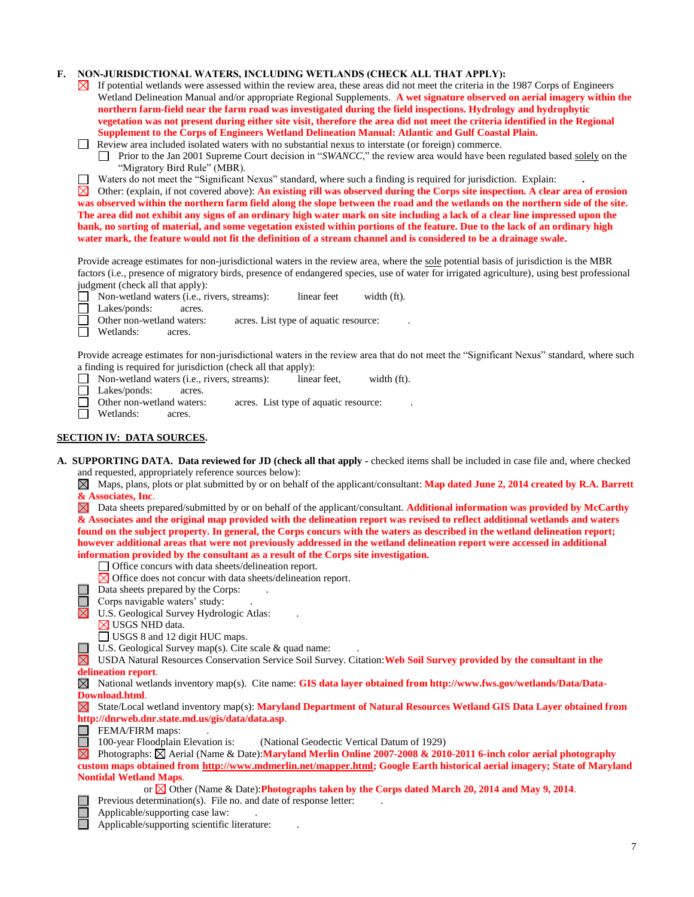## **F. NON-JURISDICTIONAL WATERS, INCLUDING WETLANDS (CHECK ALL THAT APPLY):**

- $\boxtimes$  If potential wetlands were assessed within the review area, these areas did not meet the criteria in the 1987 Corps of Engineers Wetland Delineation Manual and/or appropriate Regional Supplements. **A wet signature observed on aerial imagery within the northern farm-field near the farm road was investigated during the field inspections. Hydrology and hydrophytic vegetation was not present during either site visit, therefore the area did not meet the criteria identified in the Regional Supplement to the Corps of Engineers Wetland Delineation Manual: Atlantic and Gulf Coastal Plain.**
- Review area included isolated waters with no substantial nexus to interstate (or foreign) commerce.

Prior to the Jan 2001 Supreme Court decision in "*SWANCC*," the review area would have been regulated based solely on the  $\Box$ "Migratory Bird Rule" (MBR).

Waters do not meet the "Significant Nexus" standard, where such a finding is required for jurisdiction. Explain: **.**

 $\boxtimes$  Other: (explain, if not covered above): An existing rill was observed during the Corps site inspection. A clear area of erosion **was observed within the northern farm field along the slope between the road and the wetlands on the northern side of the site. The area did not exhibit any signs of an ordinary high water mark on site including a lack of a clear line impressed upon the bank, no sorting of material, and some vegetation existed within portions of the feature. Due to the lack of an ordinary high water mark, the feature would not fit the definition of a stream channel and is considered to be a drainage swale.**

Provide acreage estimates for non-jurisdictional waters in the review area, where the sole potential basis of jurisdiction is the MBR factors (i.e., presence of migratory birds, presence of endangered species, use of water for irrigated agriculture), using best professional judgment (check all that apply):

- Non-wetland waters (i.e., rivers, streams): linear feet width (ft).
- $\Box$ Lakes/ponds: acres.
- П Other non-wetland waters: acres. List type of aquatic resource:
- Wetlands: acres. П

Provide acreage estimates for non-jurisdictional waters in the review area that do not meet the "Significant Nexus" standard, where such a finding is required for jurisdiction (check all that apply):

Non-wetland waters (i.e., rivers, streams): linear feet, width (ft).  $\Box$ 

 $\Box$ Lakes/ponds: acres.

- Other non-wetland waters: acres. List type of aquatic resource:  $\Box$
- $\Box$ Wetlands: acres.

## **SECTION IV: DATA SOURCES.**

**A. SUPPORTING DATA. Data reviewed for JD (check all that apply -** checked items shall be included in case file and, where checked and requested, appropriately reference sources below):

Maps, plans, plots or plat submitted by or on behalf of the applicant/consultant: **Map dated June 2, 2014 created by R.A. Barrett & Associates, Inc**.

Data sheets prepared/submitted by or on behalf of the applicant/consultant. **Additional information was provided by McCarthy & Associates and the original map provided with the delineation report was revised to reflect additional wetlands and waters found on the subject property. In general, the Corps concurs with the waters as described in the wetland delineation report; however additional areas that were not previously addressed in the wetland delineation report were accessed in additional information provided by the consultant as a result of the Corps site investigation.**

Office concurs with data sheets/delineation report.

- $\boxtimes$  Office does not concur with data sheets/delineation report.
- Data sheets prepared by the Corps:
- $\Box$  Corps navigable waters' study:

 $\boxtimes$  U.S. Geological Survey Hydrologic Atlas:

- $\boxtimes$  USGS NHD data.
- □ USGS 8 and 12 digit HUC maps.
- $\Box$  U.S. Geological Survey map(s). Cite scale & quad name:

USDA Natural Resources Conservation Service Soil Survey. Citation:**Web Soil Survey provided by the consultant in the delineation report**.

National wetlands inventory map(s). Cite name: **GIS data layer obtained from http://www.fws.gov/wetlands/Data/Data-Download.html**.

State/Local wetland inventory map(s): **Maryland Department of Natural Resources Wetland GIS Data Layer obtained from http://dnrweb.dnr.state.md.us/gis/data/data.asp**.

 $\Box$  FEMA/FIRM maps:

100-year Floodplain Elevation is: (National Geodectic Vertical Datum of 1929)

Photographs: Aerial (Name & Date):**Maryland Merlin Online 2007-2008 & 2010-2011 6-inch color aerial photography custom maps obtained from [http://www.mdmerlin.net/mapper.html;](http://www.mdmerlin.net/mapper.html) Google Earth historical aerial imagery; State of Maryland Nontidal Wetland Maps**.

or  $\boxtimes$  Other (Name & Date): **Photographs taken by the Corps dated March 20, 2014 and May 9, 2014**.

- Previous determination(s). File no. and date of response letter:
- Applicable/supporting case law: .

Applicable/supporting scientific literature: .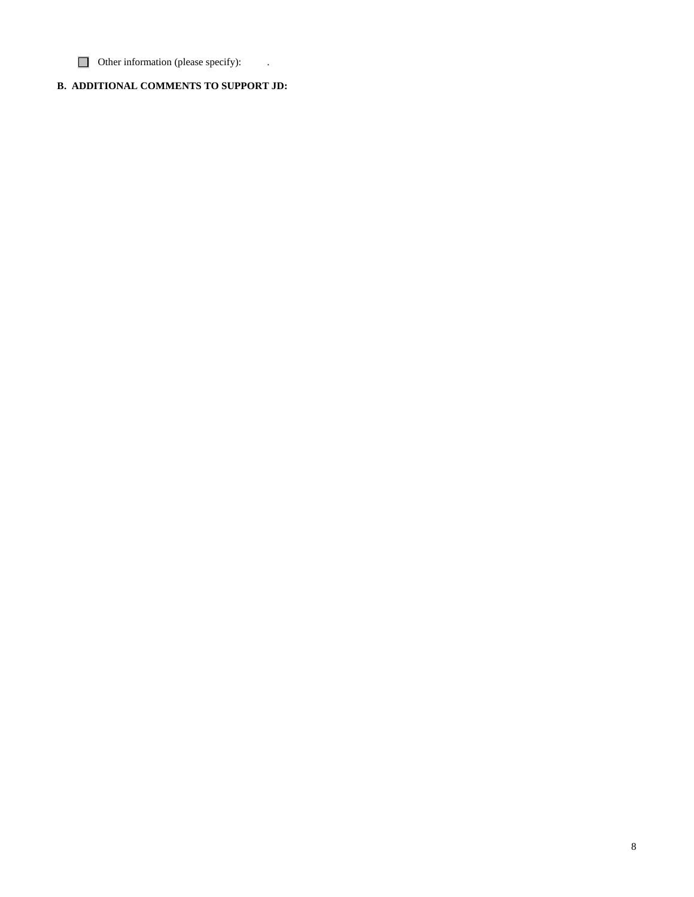$\Box$  Other information (please specify):

# **B. ADDITIONAL COMMENTS TO SUPPORT JD:**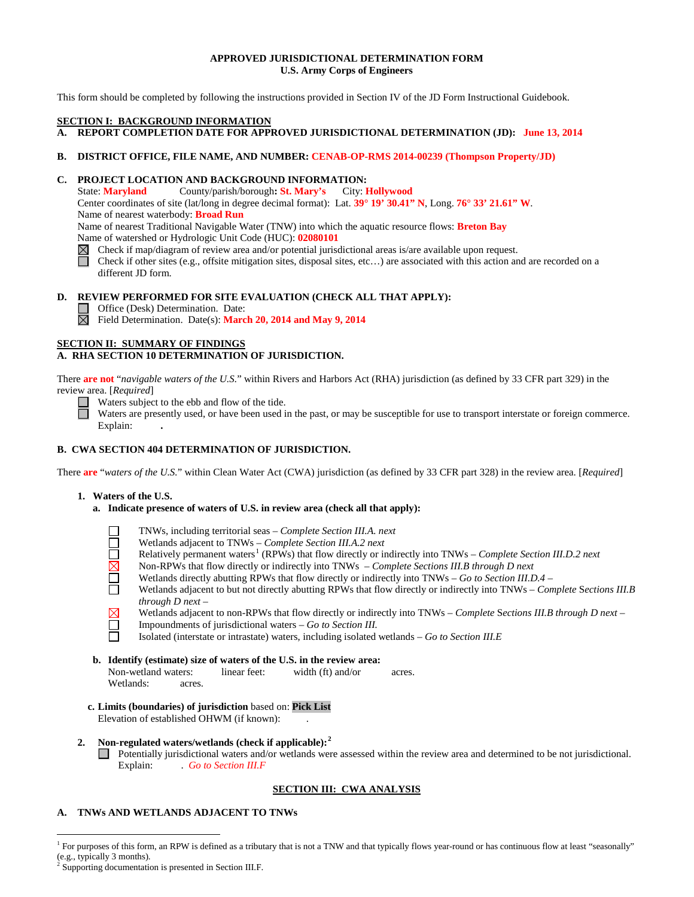## **APPROVED JURISDICTIONAL DETERMINATION FORM U.S. Army Corps of Engineers**

This form should be completed by following the instructions provided in Section IV of the JD Form Instructional Guidebook.

### **SECTION I: BACKGROUND INFORMATION**

- **A. REPORT COMPLETION DATE FOR APPROVED JURISDICTIONAL DETERMINATION (JD): June 13, 2014**
- **B. DISTRICT OFFICE, FILE NAME, AND NUMBER: CENAB-OP-RMS 2014-00239 (Thompson Property/JD)**

## **C. PROJECT LOCATION AND BACKGROUND INFORMATION:**

State: **Maryland** County/parish/borough**: St. Mary's** City: **Hollywood** Center coordinates of site (lat/long in degree decimal format): Lat. **39° 19' 30.41" N**, Long. **76° 33' 21.61" W**. Name of nearest waterbody: **Broad Run** Name of nearest Traditional Navigable Water (TNW) into which the aquatic resource flows: **Breton Bay** Name of watershed or Hydrologic Unit Code (HUC): **02080101**

- Check if map/diagram of review area and/or potential jurisdictional areas is/are available upon request.
- Check if other sites (e.g., offsite mitigation sites, disposal sites, etc…) are associated with this action and are recorded on a different JD form.

### **D. REVIEW PERFORMED FOR SITE EVALUATION (CHECK ALL THAT APPLY):**

□ Office (Desk) Determination. Date:

Field Determination. Date(s): **March 20, 2014 and May 9, 2014**

### **SECTION II: SUMMARY OF FINDINGS**

## **A. RHA SECTION 10 DETERMINATION OF JURISDICTION.**

There **are not** "*navigable waters of the U.S.*" within Rivers and Harbors Act (RHA) jurisdiction (as defined by 33 CFR part 329) in the review area. [*Required*] Waters subject to the ebb and flow of the tide.<br>Waters are proceed.

Waters are presently used, or have been used in the past, or may be susceptible for use to transport interstate or foreign commerce. Explain: **.**

## **B. CWA SECTION 404 DETERMINATION OF JURISDICTION.**

There **are** "*waters of the U.S.*" within Clean Water Act (CWA) jurisdiction (as defined by 33 CFR part 328) in the review area. [*Required*]

### **1. Waters of the U.S.**

**a. Indicate presence of waters of U.S. in review area (check all that apply):**



- TNWs, including territorial seas *Complete Section III.A. next*
- Wetlands adjacent to TNWs *Complete Section III.A.2 next*
- Relatively permanent waters<sup>[1](#page-8-0)</sup> (RPWs) that flow directly or indirectly into TNWs *Complete Section III.D.2 next*
- Non-RPWs that flow directly or indirectly into TNWs *Complete Sections III.B through D next*
- Wetlands directly abutting RPWs that flow directly or indirectly into TNWs *Go to Section III.D.4 –*
- ñ Wetlands adjacent to but not directly abutting RPWs that flow directly or indirectly into TNWs – *Complete* S*ections III.B through D next –*



Wetlands adjacent to non-RPWs that flow directly or indirectly into TNWs – *Complete* S*ections III.B through D next –*

- Impoundments of jurisdictional waters *Go to Section III.*
- Isolated (interstate or intrastate) waters, including isolated wetlands *Go to Section III.E*
- **b. Identify (estimate) size of waters of the U.S. in the review area:**<br>Non-wetland waters: linear feet: width (ft) and/or Non-wetland waters: linear feet: width (ft) and/or acres. Wetlands: acres.
- **c. Limits (boundaries) of jurisdiction** based on: **Pick List** Elevation of established OHWM (if known):

## **2. Non-regulated waters/wetlands (check if applicable): [2](#page-8-1)**

Potentially jurisdictional waters and/or wetlands were assessed within the review area and determined to be not jurisdictional.<br>Explain: Go to Section III.F Explain: .*Go to Section III.F*

# **SECTION III: CWA ANALYSIS**

## **A. TNWs AND WETLANDS ADJACENT TO TNWs**

<span id="page-8-1"></span><span id="page-8-0"></span><sup>&</sup>lt;sup>1</sup> For purposes of this form, an RPW is defined as a tributary that is not a TNW and that typically flows year-round or has continuous flow at least "seasonally" (e.g., typically 3 months).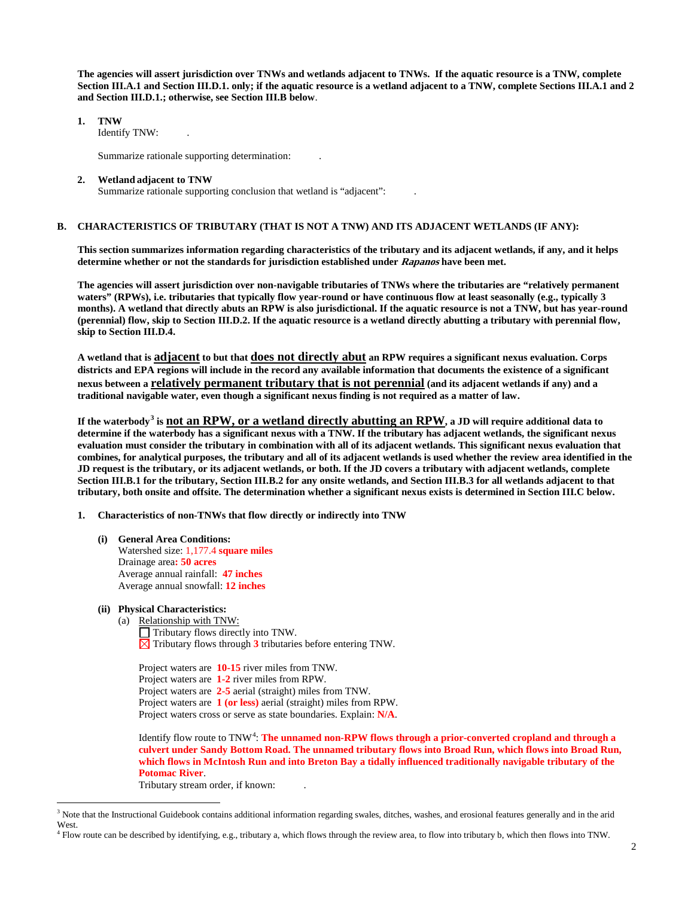**The agencies will assert jurisdiction over TNWs and wetlands adjacent to TNWs. If the aquatic resource is a TNW, complete Section III.A.1 and Section III.D.1. only; if the aquatic resource is a wetland adjacent to a TNW, complete Sections III.A.1 and 2 and Section III.D.1.; otherwise, see Section III.B below**.

**1. TNW** 

Identify TNW: .

Summarize rationale supporting determination: .

#### **2. Wetland adjacent to TNW**

Summarize rationale supporting conclusion that wetland is "adjacent":

### **B. CHARACTERISTICS OF TRIBUTARY (THAT IS NOT A TNW) AND ITS ADJACENT WETLANDS (IF ANY):**

**This section summarizes information regarding characteristics of the tributary and its adjacent wetlands, if any, and it helps determine whether or not the standards for jurisdiction established under Rapanos have been met.** 

**The agencies will assert jurisdiction over non-navigable tributaries of TNWs where the tributaries are "relatively permanent waters" (RPWs), i.e. tributaries that typically flow year-round or have continuous flow at least seasonally (e.g., typically 3 months). A wetland that directly abuts an RPW is also jurisdictional. If the aquatic resource is not a TNW, but has year-round (perennial) flow, skip to Section III.D.2. If the aquatic resource is a wetland directly abutting a tributary with perennial flow, skip to Section III.D.4.**

**A wetland that is adjacent to but that does not directly abut an RPW requires a significant nexus evaluation. Corps districts and EPA regions will include in the record any available information that documents the existence of a significant nexus between a relatively permanent tributary that is not perennial (and its adjacent wetlands if any) and a traditional navigable water, even though a significant nexus finding is not required as a matter of law.**

**If the waterbody[3](#page-9-0) is not an RPW, or a wetland directly abutting an RPW, a JD will require additional data to determine if the waterbody has a significant nexus with a TNW. If the tributary has adjacent wetlands, the significant nexus evaluation must consider the tributary in combination with all of its adjacent wetlands. This significant nexus evaluation that combines, for analytical purposes, the tributary and all of its adjacent wetlands is used whether the review area identified in the JD request is the tributary, or its adjacent wetlands, or both. If the JD covers a tributary with adjacent wetlands, complete Section III.B.1 for the tributary, Section III.B.2 for any onsite wetlands, and Section III.B.3 for all wetlands adjacent to that tributary, both onsite and offsite. The determination whether a significant nexus exists is determined in Section III.C below.**

- **1. Characteristics of non-TNWs that flow directly or indirectly into TNW**
	- **(i) General Area Conditions:** Watershed size: 1,177.4 **square miles** Drainage area**: 50 acres** Average annual rainfall: **47 inches** Average annual snowfall: **12 inches**
	- **(ii) Physical Characteristics:**
		- (a) Relationship with TNW:
			- $\Box$  Tributary flows directly into TNW.  $\boxtimes$  Tributary flows through **3** tributaries before entering TNW.

Project waters are **10-15** river miles from TNW. Project waters are **1-2** river miles from RPW. Project waters are **2-5** aerial (straight) miles from TNW. Project waters are **1 (or less)** aerial (straight) miles from RPW. Project waters cross or serve as state boundaries. Explain: **N/A**.

Identify flow route to TNW<sup>[4](#page-9-1)</sup>: The unnamed non-RPW flows through a prior-converted cropland and through a **culvert under Sandy Bottom Road. The unnamed tributary flows into Broad Run, which flows into Broad Run, which flows in McIntosh Run and into Breton Bay a tidally influenced traditionally navigable tributary of the Potomac River**.

Tributary stream order, if known: .

<span id="page-9-0"></span><sup>&</sup>lt;sup>3</sup> Note that the Instructional Guidebook contains additional information regarding swales, ditches, washes, and erosional features generally and in the arid West.

<span id="page-9-1"></span><sup>4</sup> Flow route can be described by identifying, e.g., tributary a, which flows through the review area, to flow into tributary b, which then flows into TNW.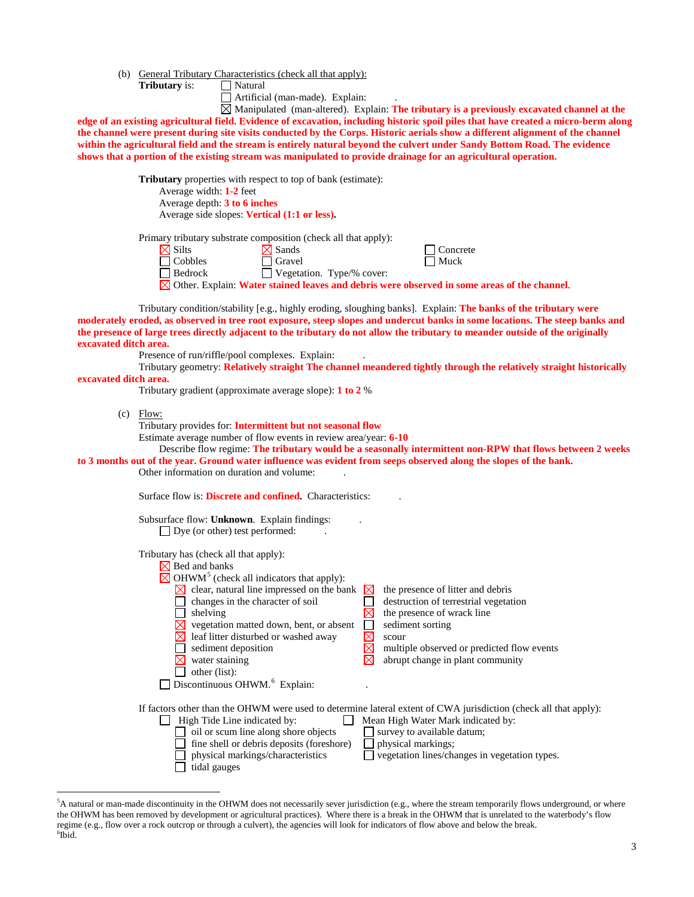- (b) General Tributary Characteristics (check all that apply):
	- **Tributary** is: Natural

Artificial (man-made). Explain: .

Manipulated (man-altered). Explain: **The tributary is a previously excavated channel at the edge of an existing agricultural field. Evidence of excavation, including historic spoil piles that have created a micro-berm along the channel were present during site visits conducted by the Corps**. **Historic aerials show a different alignment of the channel within the agricultural field and the stream is entirely natural beyond the culvert under Sandy Bottom Road. The evidence shows that a portion of the existing stream was manipulated to provide drainage for an agricultural operation.**

> **Tributary** properties with respect to top of bank (estimate): Average width: **1-2** feet

Average depth: **3 to 6 inches** Average side slopes: **Vertical (1:1 or less).** 

Primary tributary substrate composition (check all that apply):

| $\boxtimes$ Silts | .<br>$\boxtimes$ Sands           | $\Box$ Concrete |
|-------------------|----------------------------------|-----------------|
| $\Box$ Cobbles    | $\Box$ Gravel                    | $\Box$ Muck     |
| $\Box$ Bedrock    | $\Box$ Vegetation. Type/% cover: |                 |
|                   |                                  |                 |

Other. Explain: **Water stained leaves and debris were observed in some areas of the channel**.

Tributary condition/stability [e.g., highly eroding, sloughing banks]. Explain: **The banks of the tributary were moderately eroded, as observed in tree root exposure, steep slopes and undercut banks in some locations. The steep banks and the presence of large trees directly adjacent to the tributary do not allow the tributary to meander outside of the originally excavated ditch area.**

Presence of run/riffle/pool complexes. Explain:

Tributary geometry: **Relatively straight The channel meandered tightly through the relatively straight historically excavated ditch area.**

Tributary gradient (approximate average slope): **1 to 2** %

(c) Flow:

Tributary provides for: **Intermittent but not seasonal flow**

Estimate average number of flow events in review area/year: **6-10**

Describe flow regime: **The tributary would be a seasonally intermittent non-RPW that flows between 2 weeks to 3 months out of the year. Ground water influence was evident from seeps observed along the slopes of the bank.**

Other information on duration and volume: .

Surface flow is: **Discrete and confined.** Characteristics:

| Subsurface flow: Unknown. Explain findings: |  |  |
|---------------------------------------------|--|--|
|---------------------------------------------|--|--|

 $\Box$  Dye (or other) test performed:

Tributary has (check all that apply):

| Bed and banks                                                    |                                                                                                                  |
|------------------------------------------------------------------|------------------------------------------------------------------------------------------------------------------|
| $\boxtimes$ OHWM <sup>5</sup> (check all indicators that apply): |                                                                                                                  |
| clear, natural line impressed on the bank                        | the presence of litter and debris<br>⊠                                                                           |
| changes in the character of soil                                 | destruction of terrestrial vegetation                                                                            |
| shelving                                                         | the presence of wrack line                                                                                       |
| vegetation matted down, bent, or absent                          | sediment sorting                                                                                                 |
| leaf litter disturbed or washed away                             | scour                                                                                                            |
| sediment deposition                                              | multiple observed or predicted flow events                                                                       |
| water staining                                                   | abrupt change in plant community                                                                                 |
| other (list):                                                    |                                                                                                                  |
| Discontinuous OHWM. <sup>6</sup> Explain:                        |                                                                                                                  |
|                                                                  |                                                                                                                  |
|                                                                  | If factors other than the OHWM were used to determine lateral extent of CWA jurisdiction (check all that apply): |
| High Tide Line indicated by:                                     | Mean High Water Mark indicated by:                                                                               |
| oil or scum line along shore objects                             | survey to available datum;                                                                                       |
| fine shell or debris deposits (foreshore)                        | physical markings;                                                                                               |
| physical markings/characteristics                                | vegetation lines/changes in vegetation types.                                                                    |
| tidal gauges                                                     |                                                                                                                  |

<span id="page-10-1"></span><span id="page-10-0"></span> <sup>5</sup> <sup>5</sup>A natural or man-made discontinuity in the OHWM does not necessarily sever jurisdiction (e.g., where the stream temporarily flows underground, or where the OHWM has been removed by development or agricultural practices). Where there is a break in the OHWM that is unrelated to the waterbody's flow regime (e.g., flow over a rock outcrop or through a culvert), the agencies will look for indicators of flow above and below the break. <sup>6</sup>  $^6$ Ibid.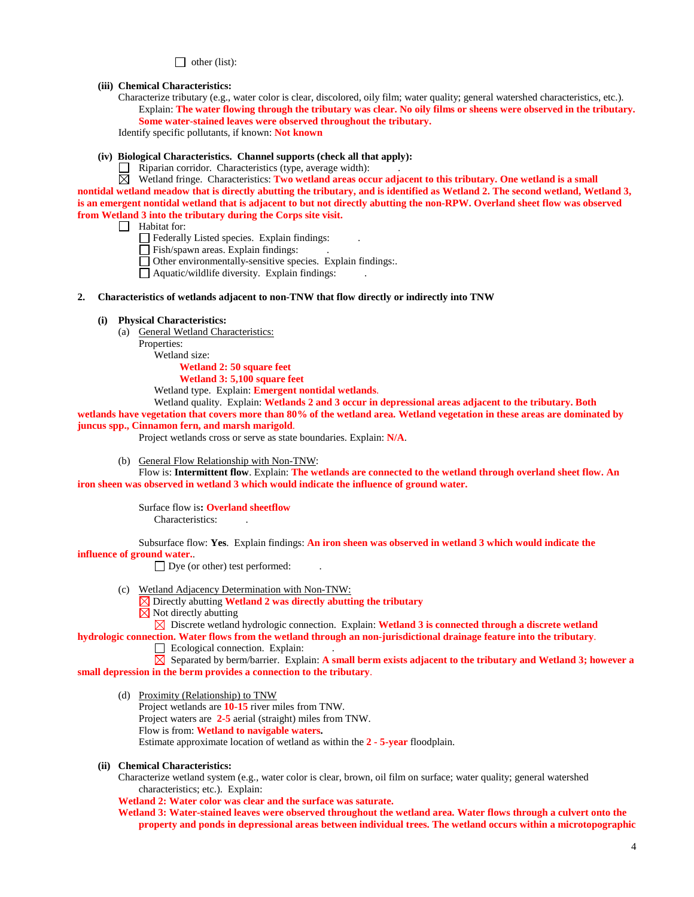$\Box$  other (list):

#### **(iii) Chemical Characteristics:**

Characterize tributary (e.g., water color is clear, discolored, oily film; water quality; general watershed characteristics, etc.). Explain: **The water flowing through the tributary was clear. No oily films or sheens were observed in the tributary. Some water-stained leaves were observed throughout the tributary.**

Identify specific pollutants, if known: **Not known**

### **(iv) Biological Characteristics. Channel supports (check all that apply):**

 $\Box$  Riparian corridor. Characteristics (type, average width):

 $\boxtimes$  Wetland fringe. Characteristics: **Two wetland areas occur adjacent to this tributary. One wetland is a small nontidal wetland meadow that is directly abutting the tributary, and is identified as Wetland 2. The second wetland, Wetland 3, is an emergent nontidal wetland that is adjacent to but not directly abutting the non-RPW. Overland sheet flow was observed from Wetland 3 into the tributary during the Corps site visit.**

 $\Box$  Habitat for:

Federally Listed species. Explain findings:

Fish/spawn areas. Explain findings:

Other environmentally-sensitive species. Explain findings:.

 $\Box$  Aquatic/wildlife diversity. Explain findings:

### **2. Characteristics of wetlands adjacent to non-TNW that flow directly or indirectly into TNW**

#### **(i) Physical Characteristics:**

(a) General Wetland Characteristics:

Properties:

Wetland size:

**Wetland 2: 50 square feet**

**Wetland 3: 5,100 square feet**

Wetland type. Explain: **Emergent nontidal wetlands**.

Wetland quality. Explain: **Wetlands 2 and 3 occur in depressional areas adjacent to the tributary. Both** 

**wetlands have vegetation that covers more than 80% of the wetland area. Wetland vegetation in these areas are dominated by juncus spp., Cinnamon fern, and marsh marigold**.

Project wetlands cross or serve as state boundaries. Explain: **N/A**.

(b) General Flow Relationship with Non-TNW:

Flow is: **Intermittent flow**. Explain: **The wetlands are connected to the wetland through overland sheet flow. An iron sheen was observed in wetland 3 which would indicate the influence of ground water.**

> Surface flow is**: Overland sheetflow**  Characteristics: .

Subsurface flow: **Yes**. Explain findings: **An iron sheen was observed in wetland 3 which would indicate the influence of ground water.**.

 $\Box$  Dye (or other) test performed:

- (c) Wetland Adjacency Determination with Non-TNW:
	- Directly abutting **Wetland 2 was directly abutting the tributary**

 $\boxtimes$  Not directly abutting

 $\boxtimes$  Discrete wetland hydrologic connection. Explain: **Wetland 3 is connected through a discrete wetland hydrologic connection. Water flows from the wetland through an non-jurisdictional drainage feature into the tributary**.

 $\Box$  Ecological connection. Explain:

 $\boxtimes$  Separated by berm/barrier. Explain: **A small berm exists adjacent to the tributary and Wetland 3; however a small depression in the berm provides a connection to the tributary**.

(d) Proximity (Relationship) to TNW

Project wetlands are **10-15** river miles from TNW. Project waters are **2-5** aerial (straight) miles from TNW.

Flow is from: **Wetland to navigable waters.**

Estimate approximate location of wetland as within the **2 - 5-year** floodplain.

**(ii) Chemical Characteristics:**

Characterize wetland system (e.g., water color is clear, brown, oil film on surface; water quality; general watershed characteristics; etc.). Explain:

**Wetland 2: Water color was clear and the surface was saturate.** 

**Wetland 3: Water-stained leaves were observed throughout the wetland area. Water flows through a culvert onto the property and ponds in depressional areas between individual trees. The wetland occurs within a microtopographic**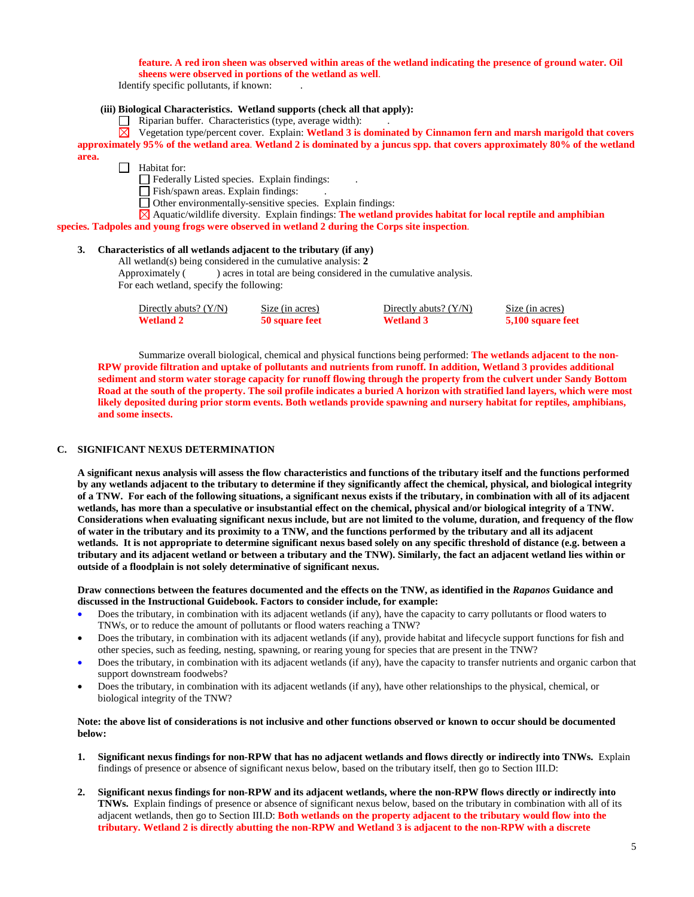### **feature. A red iron sheen was observed within areas of the wetland indicating the presence of ground water. Oil sheens were observed in portions of the wetland as well**.

Identify specific pollutants, if known: .

## **(iii) Biological Characteristics. Wetland supports (check all that apply):**

 $\Box$  Riparian buffer. Characteristics (type, average width):

Vegetation type/percent cover. Explain: **Wetland 3 is dominated by Cinnamon fern and marsh marigold that covers approximately 95% of the wetland area**. **Wetland 2 is dominated by a juncus spp. that covers approximately 80% of the wetland area.**

 $\Box$  Habitat for:

 $\Box$  Federally Listed species. Explain findings:

Fish/spawn areas. Explain findings: .

Other environmentally-sensitive species. Explain findings:

Aquatic/wildlife diversity. Explain findings: **The wetland provides habitat for local reptile and amphibian species. Tadpoles and young frogs were observed in wetland 2 during the Corps site inspection**.

### **3. Characteristics of all wetlands adjacent to the tributary (if any)**

All wetland(s) being considered in the cumulative analysis: **2** Approximately ( ) acres in total are being considered in the cumulative analysis. For each wetland, specify the following:

Directly abuts? (Y/N) Size (in acres) Directly abuts? (Y/N) Size (in acres) **Wetland 2 50 square feet Wetland 3 5,100 square feet**

Summarize overall biological, chemical and physical functions being performed: **The wetlands adjacent to the non-RPW provide filtration and uptake of pollutants and nutrients from runoff. In addition, Wetland 3 provides additional sediment and storm water storage capacity for runoff flowing through the property from the culvert under Sandy Bottom Road at the south of the property. The soil profile indicates a buried A horizon with stratified land layers, which were most likely deposited during prior storm events. Both wetlands provide spawning and nursery habitat for reptiles, amphibians, and some insects.**

## **C. SIGNIFICANT NEXUS DETERMINATION**

**A significant nexus analysis will assess the flow characteristics and functions of the tributary itself and the functions performed by any wetlands adjacent to the tributary to determine if they significantly affect the chemical, physical, and biological integrity of a TNW. For each of the following situations, a significant nexus exists if the tributary, in combination with all of its adjacent wetlands, has more than a speculative or insubstantial effect on the chemical, physical and/or biological integrity of a TNW. Considerations when evaluating significant nexus include, but are not limited to the volume, duration, and frequency of the flow of water in the tributary and its proximity to a TNW, and the functions performed by the tributary and all its adjacent wetlands. It is not appropriate to determine significant nexus based solely on any specific threshold of distance (e.g. between a tributary and its adjacent wetland or between a tributary and the TNW). Similarly, the fact an adjacent wetland lies within or outside of a floodplain is not solely determinative of significant nexus.** 

**Draw connections between the features documented and the effects on the TNW, as identified in the** *Rapanos* **Guidance and discussed in the Instructional Guidebook. Factors to consider include, for example:**

- Does the tributary, in combination with its adjacent wetlands (if any), have the capacity to carry pollutants or flood waters to TNWs, or to reduce the amount of pollutants or flood waters reaching a TNW?
- Does the tributary, in combination with its adjacent wetlands (if any), provide habitat and lifecycle support functions for fish and other species, such as feeding, nesting, spawning, or rearing young for species that are present in the TNW?
- Does the tributary, in combination with its adjacent wetlands (if any), have the capacity to transfer nutrients and organic carbon that support downstream foodwebs?
- Does the tributary, in combination with its adjacent wetlands (if any), have other relationships to the physical, chemical, or biological integrity of the TNW?

## **Note: the above list of considerations is not inclusive and other functions observed or known to occur should be documented below:**

- **1. Significant nexus findings for non-RPW that has no adjacent wetlands and flows directly or indirectly into TNWs.** Explain findings of presence or absence of significant nexus below, based on the tributary itself, then go to Section III.D:
- **2. Significant nexus findings for non-RPW and its adjacent wetlands, where the non-RPW flows directly or indirectly into TNWs.** Explain findings of presence or absence of significant nexus below, based on the tributary in combination with all of its adjacent wetlands, then go to Section III.D: **Both wetlands on the property adjacent to the tributary would flow into the tributary. Wetland 2 is directly abutting the non-RPW and Wetland 3 is adjacent to the non-RPW with a discrete**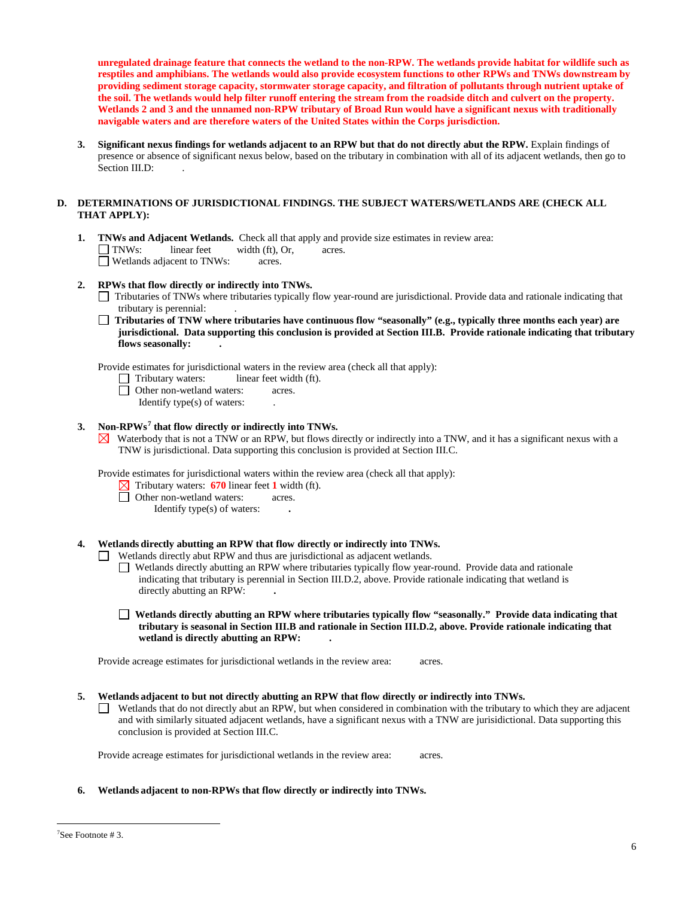**unregulated drainage feature that connects the wetland to the non-RPW. The wetlands provide habitat for wildlife such as resptiles and amphibians. The wetlands would also provide ecosystem functions to other RPWs and TNWs downstream by providing sediment storage capacity, stormwater storage capacity, and filtration of pollutants through nutrient uptake of the soil. The wetlands would help filter runoff entering the stream from the roadside ditch and culvert on the property. Wetlands 2 and 3 and the unnamed non-RPW tributary of Broad Run would have a significant nexus with traditionally navigable waters and are therefore waters of the United States within the Corps jurisdiction.**

**3. Significant nexus findings for wetlands adjacent to an RPW but that do not directly abut the RPW.** Explain findings of presence or absence of significant nexus below, based on the tributary in combination with all of its adjacent wetlands, then go to Section III.D:

## **D. DETERMINATIONS OF JURISDICTIONAL FINDINGS. THE SUBJECT WATERS/WETLANDS ARE (CHECK ALL THAT APPLY):**

- **1. <b>TNWs and Adjacent Wetlands.** Check all that apply and provide size estimates in review area:  $\Box$  **TNWs:** linear feet width (ft), Or, acres. width (ft), Or, acres. □ Wetlands adjacent to TNWs: acres.
- **2. RPWs that flow directly or indirectly into TNWs.**
	- Tributaries of TNWs where tributaries typically flow year-round are jurisdictional. Provide data and rationale indicating that tributary is perennial: .
	- **Tributaries of TNW where tributaries have continuous flow "seasonally" (e.g., typically three months each year) are jurisdictional. Data supporting this conclusion is provided at Section III.B. Provide rationale indicating that tributary flows seasonally: .**

Provide estimates for jurisdictional waters in the review area (check all that apply):

- $\Box$  Tributary waters: linear feet width (ft).
- Other non-wetland waters: acres.
	- Identify type(s) of waters: .

## **3. Non-RPWs[7](#page-13-0) that flow directly or indirectly into TNWs.**

 $\boxtimes$  Waterbody that is not a TNW or an RPW, but flows directly or indirectly into a TNW, and it has a significant nexus with a TNW is jurisdictional. Data supporting this conclusion is provided at Section III.C.

Provide estimates for jurisdictional waters within the review area (check all that apply):

- Tributary waters: **670** linear feet **1** width (ft).
- Other non-wetland waters: acres.
	- Identify type(s) of waters: **.**

## **4. Wetlands directly abutting an RPW that flow directly or indirectly into TNWs.**

Wetlands directly abut RPW and thus are jurisdictional as adjacent wetlands.

- Wetlands directly abutting an RPW where tributaries typically flow year-round. Provide data and rationale indicating that tributary is perennial in Section III.D.2, above. Provide rationale indicating that wetland is directly abutting an RPW: **.**
- **Wetlands directly abutting an RPW where tributaries typically flow "seasonally." Provide data indicating that tributary is seasonal in Section III.B and rationale in Section III.D.2, above. Provide rationale indicating that wetland is directly abutting an RPW: .**

Provide acreage estimates for jurisdictional wetlands in the review area: acres.

- **5. Wetlands adjacent to but not directly abutting an RPW that flow directly or indirectly into TNWs.**
	- $\Box$  Wetlands that do not directly abut an RPW, but when considered in combination with the tributary to which they are adjacent and with similarly situated adjacent wetlands, have a significant nexus with a TNW are jurisidictional. Data supporting this conclusion is provided at Section III.C.

Provide acreage estimates for jurisdictional wetlands in the review area: acres.

**6. Wetlands adjacent to non-RPWs that flow directly or indirectly into TNWs.** 

<span id="page-13-0"></span><sup>-&</sup>lt;br>7  $\sqrt{3}$ See Footnote # 3.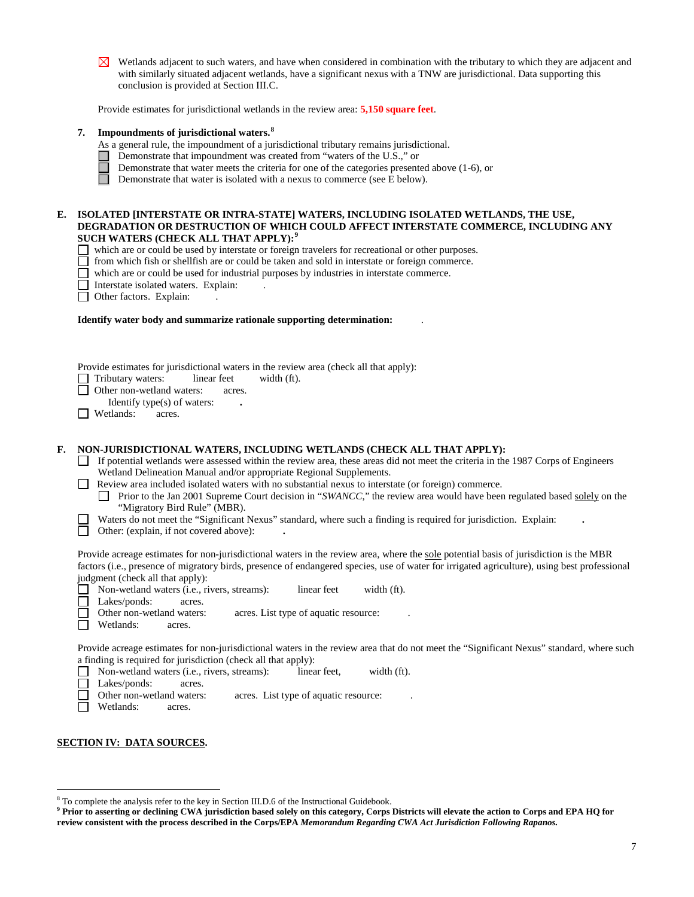$\boxtimes$  Wetlands adjacent to such waters, and have when considered in combination with the tributary to which they are adjacent and with similarly situated adjacent wetlands, have a significant nexus with a TNW are jurisdictional. Data supporting this conclusion is provided at Section III.C.

Provide estimates for jurisdictional wetlands in the review area: **5,150 square feet**.

## **7. Impoundments of jurisdictional waters. [8](#page-14-0)**

- As a general rule, the impoundment of a jurisdictional tributary remains jurisdictional.
- Demonstrate that impoundment was created from "waters of the U.S.," or
- Demonstrate that water meets the criteria for one of the categories presented above (1-6), or
- П Demonstrate that water is isolated with a nexus to commerce (see E below).

### **E. ISOLATED [INTERSTATE OR INTRA-STATE] WATERS, INCLUDING ISOLATED WETLANDS, THE USE, DEGRADATION OR DESTRUCTION OF WHICH COULD AFFECT INTERSTATE COMMERCE, INCLUDING ANY SUCH WATERS (CHECK ALL THAT APPLY):[9](#page-14-1)**

- which are or could be used by interstate or foreign travelers for recreational or other purposes.
- $\Box$  from which fish or shellfish are or could be taken and sold in interstate or foreign commerce.<br> $\Box$  which are or could be used for industrial purposes by industries in interstate commerce.
- which are or could be used for industrial purposes by industries in interstate commerce.
- □ Interstate isolated waters. Explain:
- □ Other factors. Explain:

#### **Identify water body and summarize rationale supporting determination:** .

| Provide estimates for jurisdictional waters in the review area (check all that apply): |  |  |  |
|----------------------------------------------------------------------------------------|--|--|--|
|                                                                                        |  |  |  |

Tributary waters: linear feet width (ft).

П Other non-wetland waters: acres.

Identify type(s) of waters: **.**

**Wetlands:** acres.

## **F. NON-JURISDICTIONAL WATERS, INCLUDING WETLANDS (CHECK ALL THAT APPLY):**

- $\Box$  If potential wetlands were assessed within the review area, these areas did not meet the criteria in the 1987 Corps of Engineers Wetland Delineation Manual and/or appropriate Regional Supplements.
- Review area included isolated waters with no substantial nexus to interstate (or foreign) commerce.

**Prior to the Jan 2001 Supreme Court decision in "***SWANCC***," the review area would have been regulated based solely on the** "Migratory Bird Rule" (MBR).

- Waters do not meet the "Significant Nexus" standard, where such a finding is required for jurisdiction. Explain: **.**  $\Box$ 
	- Other: (explain, if not covered above): **.**

Provide acreage estimates for non-jurisdictional waters in the review area, where the sole potential basis of jurisdiction is the MBR factors (i.e., presence of migratory birds, presence of endangered species, use of water for irrigated agriculture), using best professional judgment (check all that apply):

- П Non-wetland waters (i.e., rivers, streams): linear feet width (ft).
- П Lakes/ponds: acres.

Other non-wetland waters: acres. List type of aquatic resource:

Wetlands: acres. П

Provide acreage estimates for non-jurisdictional waters in the review area that do not meet the "Significant Nexus" standard, where such a finding is required for jurisdiction (check all that apply):

- □ Non-wetland waters (i.e., rivers, streams): linear feet, width (ft).
- $\Box$ Lakes/ponds: acres.<br>Other non-wetland waters:
- acres. List type of aquatic resource:
- Wetlands: acres.

### **SECTION IV: DATA SOURCES.**

<span id="page-14-0"></span> <sup>8</sup> To complete the analysis refer to the key in Section III.D.6 of the Instructional Guidebook.

<span id="page-14-1"></span>**<sup>9</sup> Prior to asserting or declining CWA jurisdiction based solely on this category, Corps Districts will elevate the action to Corps and EPA HQ for review consistent with the process described in the Corps/EPA** *Memorandum Regarding CWA Act Jurisdiction Following Rapanos.*